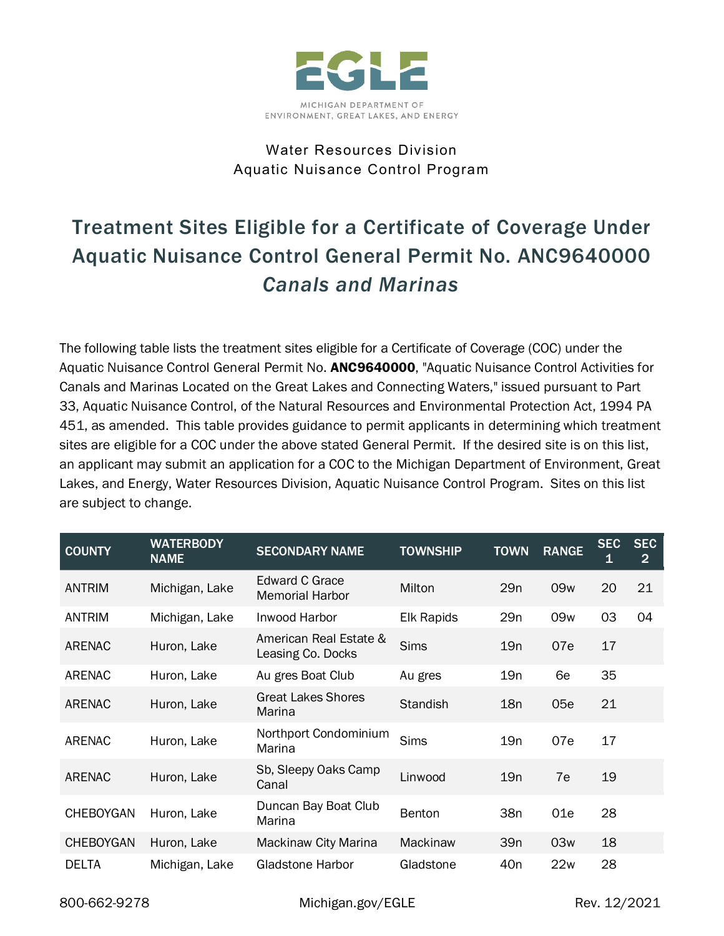

## Water Resources Division Aquatic Nuisance Control Program

# Treatment Sites Eligible for a Certificate of Coverage Under Aquatic Nuisance Control General Permit No. ANC9640000 *Canals and Marinas*

The following table lists the treatment sites eligible for a Certificate of Coverage (COC) under the Aquatic Nuisance Control General Permit No. ANC9640000, "Aquatic Nuisance Control Activities for Canals and Marinas Located on the Great Lakes and Connecting Waters," issued pursuant to Part 33, Aquatic Nuisance Control, of the Natural Resources and Environmental Protection Act, 1994 PA 451, as amended. This table provides guidance to permit applicants in determining which treatment sites are eligible for a COC under the above stated General Permit. If the desired site is on this list, an applicant may submit an application for a COC to the Michigan Department of Environment, Great Lakes, and Energy, Water Resources Division, Aquatic Nuisance Control Program. Sites on this list are subject to change.

| <b>COUNTY</b>    | <b>WATERBODY</b><br><b>NAME</b> | <b>SECONDARY NAME</b>                       | <b>TOWNSHIP</b>   | <b>TOWN</b>     | <b>RANGE</b>    | <b>SEC</b><br>$\mathbf 1$ | <b>SEC</b><br>$\overline{2}$ |
|------------------|---------------------------------|---------------------------------------------|-------------------|-----------------|-----------------|---------------------------|------------------------------|
| <b>ANTRIM</b>    | Michigan, Lake                  | Edward C Grace<br><b>Memorial Harbor</b>    | Milton            | 29n             | 09 <sub>w</sub> | 20                        | 21                           |
| <b>ANTRIM</b>    | Michigan, Lake                  | Inwood Harbor                               | <b>Elk Rapids</b> | 29n             | 09w             | 03                        | 04                           |
| ARENAC           | Huron, Lake                     | American Real Estate &<br>Leasing Co. Docks | <b>Sims</b>       | 19n             | 07e             | 17                        |                              |
| <b>ARENAC</b>    | Huron, Lake                     | Au gres Boat Club                           | Au gres           | 19n             | 6e              | 35                        |                              |
| ARENAC           | Huron, Lake                     | <b>Great Lakes Shores</b><br>Marina         | <b>Standish</b>   | 18n             | 05e             | 21                        |                              |
| ARENAC           | Huron, Lake                     | Northport Condominium<br>Marina             | <b>Sims</b>       | 19n             | 07e             | 17                        |                              |
| ARENAC           | Huron, Lake                     | Sb, Sleepy Oaks Camp<br>Canal               | Linwood           | 19n             | 7e              | 19                        |                              |
| <b>CHEBOYGAN</b> | Huron, Lake                     | Duncan Bay Boat Club<br>Marina              | <b>Benton</b>     | 38 <sub>n</sub> | 01e             | 28                        |                              |
| <b>CHEBOYGAN</b> | Huron, Lake                     | Mackinaw City Marina                        | Mackinaw          | 39 <sub>n</sub> | 03w             | 18                        |                              |
| DELTA            | Michigan, Lake                  | <b>Gladstone Harbor</b>                     | Gladstone         | 40 <sub>n</sub> | 22w             | 28                        |                              |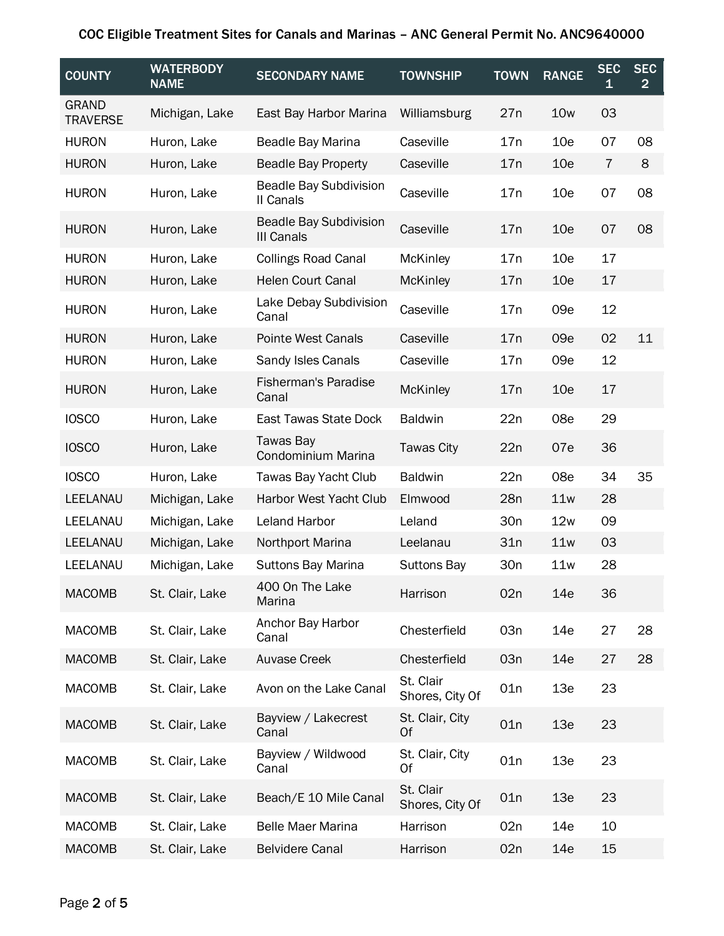| <b>COUNTY</b>                   | <b>WATERBODY</b><br><b>NAME</b> | <b>SECONDARY NAME</b>                       | <b>TOWNSHIP</b>              | <b>TOWN</b> | <b>RANGE</b>    | <b>SEC</b><br>1 | <b>SEC</b><br>$\overline{2}$ |
|---------------------------------|---------------------------------|---------------------------------------------|------------------------------|-------------|-----------------|-----------------|------------------------------|
| <b>GRAND</b><br><b>TRAVERSE</b> | Michigan, Lake                  | East Bay Harbor Marina                      | Williamsburg                 | 27n         | 10 <sub>w</sub> | 03              |                              |
| <b>HURON</b>                    | Huron, Lake                     | Beadle Bay Marina                           | Caseville                    | 17n         | 10 <sub>e</sub> | 07              | 08                           |
| <b>HURON</b>                    | Huron, Lake                     | <b>Beadle Bay Property</b>                  | Caseville                    | 17n         | 10 <sub>e</sub> | 7               | 8                            |
| <b>HURON</b>                    | Huron, Lake                     | <b>Beadle Bay Subdivision</b><br>II Canals  | Caseville                    | 17n         | 10 <sub>e</sub> | 07              | 08                           |
| <b>HURON</b>                    | Huron, Lake                     | <b>Beadle Bay Subdivision</b><br>III Canals | Caseville                    | 17n         | 10 <sub>e</sub> | 07              | 08                           |
| <b>HURON</b>                    | Huron, Lake                     | <b>Collings Road Canal</b>                  | <b>McKinley</b>              | 17n         | 10 <sub>e</sub> | 17              |                              |
| <b>HURON</b>                    | Huron, Lake                     | <b>Helen Court Canal</b>                    | <b>McKinley</b>              | 17n         | 10 <sub>e</sub> | 17              |                              |
| <b>HURON</b>                    | Huron, Lake                     | Lake Debay Subdivision<br>Canal             | Caseville                    | 17n         | 09e             | 12              |                              |
| <b>HURON</b>                    | Huron, Lake                     | <b>Pointe West Canals</b>                   | Caseville                    | 17n         | 09e             | 02              | 11                           |
| <b>HURON</b>                    | Huron, Lake                     | Sandy Isles Canals                          | Caseville                    | 17n         | 09e             | 12              |                              |
| <b>HURON</b>                    | Huron, Lake                     | <b>Fisherman's Paradise</b><br>Canal        | <b>McKinley</b>              | 17n         | 10 <sub>e</sub> | 17              |                              |
| <b>IOSCO</b>                    | Huron, Lake                     | East Tawas State Dock                       | <b>Baldwin</b>               | 22n         | 08e             | 29              |                              |
| <b>IOSCO</b>                    | Huron, Lake                     | Tawas Bay<br>Condominium Marina             | <b>Tawas City</b>            | 22n         | 07e             | 36              |                              |
| <b>IOSCO</b>                    | Huron, Lake                     | Tawas Bay Yacht Club                        | <b>Baldwin</b>               | 22n         | 08e             | 34              | 35                           |
| LEELANAU                        | Michigan, Lake                  | Harbor West Yacht Club                      | Elmwood                      | 28n         | 11w             | 28              |                              |
| LEELANAU                        | Michigan, Lake                  | <b>Leland Harbor</b>                        | Leland                       | 30n         | 12w             | 09              |                              |
| LEELANAU                        | Michigan, Lake                  | Northport Marina                            | Leelanau                     | 31n         | 11w             | 03              |                              |
| LEELANAU                        | Michigan, Lake                  | <b>Suttons Bay Marina</b>                   | <b>Suttons Bay</b>           | 30n         | 11w             | 28              |                              |
| <b>MACOMB</b>                   | St. Clair, Lake                 | 400 On The Lake<br>Marina                   | Harrison                     | 02n         | 14e             | 36              |                              |
| <b>MACOMB</b>                   | St. Clair, Lake                 | Anchor Bay Harbor<br>Canal                  | Chesterfield                 | 03n         | 14e             | 27              | 28                           |
| <b>MACOMB</b>                   | St. Clair, Lake                 | <b>Auvase Creek</b>                         | Chesterfield                 | 03n         | 14e             | 27              | 28                           |
| <b>MACOMB</b>                   | St. Clair, Lake                 | Avon on the Lake Canal                      | St. Clair<br>Shores, City Of | 01n         | 13e             | 23              |                              |
| <b>MACOMB</b>                   | St. Clair, Lake                 | Bayview / Lakecrest<br>Canal                | St. Clair, City<br>Of        | 01n         | 13e             | 23              |                              |
| <b>MACOMB</b>                   | St. Clair, Lake                 | Bayview / Wildwood<br>Canal                 | St. Clair, City<br>0f        | 01n         | 13e             | 23              |                              |
| <b>MACOMB</b>                   | St. Clair, Lake                 | Beach/E 10 Mile Canal                       | St. Clair<br>Shores, City Of | 01n         | 13e             | 23              |                              |
| <b>MACOMB</b>                   | St. Clair, Lake                 | <b>Belle Maer Marina</b>                    | Harrison                     | 02n         | 14e             | 10              |                              |
| <b>MACOMB</b>                   | St. Clair, Lake                 | <b>Belvidere Canal</b>                      | Harrison                     | 02n         | 14e             | 15              |                              |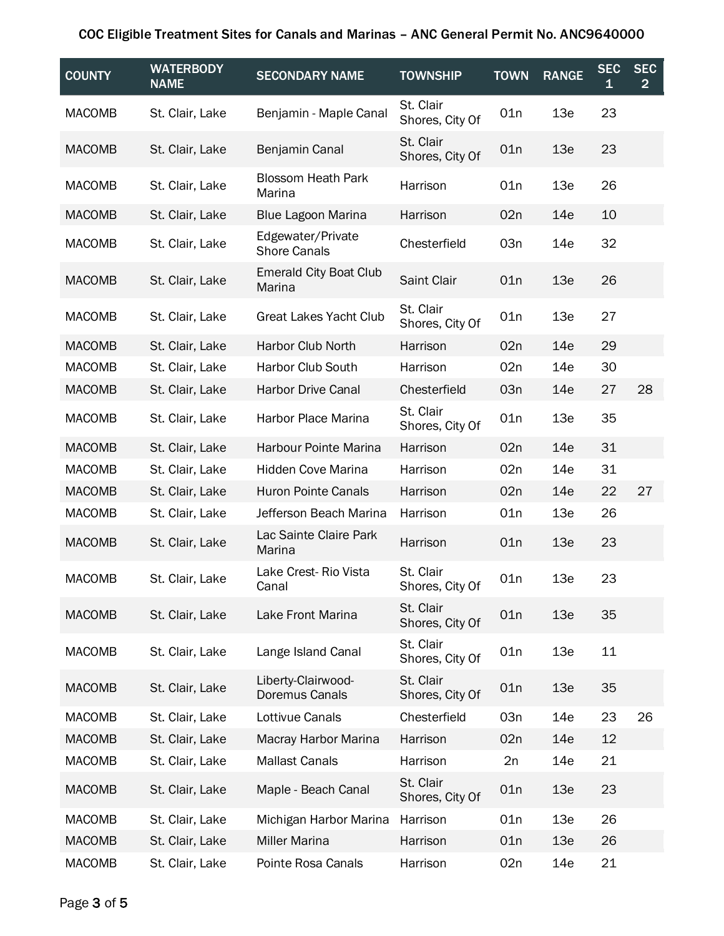| <b>COUNTY</b> | <b>WATERBODY</b><br><b>NAME</b> | <b>SECONDARY NAME</b>                    | <b>TOWNSHIP</b>              | <b>TOWN</b> | <b>RANGE</b> | <b>SEC</b><br>1 | <b>SEC</b><br>$\overline{2}$ |
|---------------|---------------------------------|------------------------------------------|------------------------------|-------------|--------------|-----------------|------------------------------|
| <b>MACOMB</b> | St. Clair, Lake                 | Benjamin - Maple Canal                   | St. Clair<br>Shores, City Of | 01n         | 13e          | 23              |                              |
| <b>MACOMB</b> | St. Clair, Lake                 | Benjamin Canal                           | St. Clair<br>Shores, City Of | 01n         | 13e          | 23              |                              |
| <b>MACOMB</b> | St. Clair, Lake                 | <b>Blossom Heath Park</b><br>Marina      | Harrison                     | 01n         | 13e          | 26              |                              |
| <b>MACOMB</b> | St. Clair, Lake                 | Blue Lagoon Marina                       | Harrison                     | 02n         | 14e          | 10              |                              |
| <b>MACOMB</b> | St. Clair, Lake                 | Edgewater/Private<br><b>Shore Canals</b> | Chesterfield                 | 03n         | 14e          | 32              |                              |
| <b>MACOMB</b> | St. Clair, Lake                 | <b>Emerald City Boat Club</b><br>Marina  | Saint Clair                  | 01n         | 13e          | 26              |                              |
| <b>MACOMB</b> | St. Clair, Lake                 | <b>Great Lakes Yacht Club</b>            | St. Clair<br>Shores, City Of | 01n         | 13e          | 27              |                              |
| <b>MACOMB</b> | St. Clair, Lake                 | <b>Harbor Club North</b>                 | Harrison                     | 02n         | 14e          | 29              |                              |
| <b>MACOMB</b> | St. Clair, Lake                 | Harbor Club South                        | Harrison                     | 02n         | 14e          | 30              |                              |
| <b>MACOMB</b> | St. Clair, Lake                 | <b>Harbor Drive Canal</b>                | Chesterfield                 | 03n         | 14e          | 27              | 28                           |
| <b>MACOMB</b> | St. Clair, Lake                 | Harbor Place Marina                      | St. Clair<br>Shores, City Of | 01n         | 13e          | 35              |                              |
| <b>MACOMB</b> | St. Clair, Lake                 | Harbour Pointe Marina                    | Harrison                     | 02n         | 14e          | 31              |                              |
| <b>MACOMB</b> | St. Clair, Lake                 | Hidden Cove Marina                       | Harrison                     | 02n         | 14e          | 31              |                              |
| <b>MACOMB</b> | St. Clair, Lake                 | <b>Huron Pointe Canals</b>               | Harrison                     | 02n         | 14e          | 22              | 27                           |
| <b>MACOMB</b> | St. Clair, Lake                 | Jefferson Beach Marina                   | Harrison                     | 01n         | 13e          | 26              |                              |
| <b>MACOMB</b> | St. Clair, Lake                 | Lac Sainte Claire Park<br>Marina         | Harrison                     | 01n         | 13e          | 23              |                              |
| <b>MACOMB</b> | St. Clair, Lake                 | Lake Crest-Rio Vista<br>Canal            | St. Clair<br>Shores, City Of | 01n         | 13e          | 23              |                              |
| <b>MACOMB</b> | St. Clair, Lake                 | Lake Front Marina                        | St. Clair<br>Shores, City Of | 01n         | 13e          | 35              |                              |
| <b>MACOMB</b> | St. Clair, Lake                 | Lange Island Canal                       | St. Clair<br>Shores, City Of | 01n         | 13e          | 11              |                              |
| <b>MACOMB</b> | St. Clair, Lake                 | Liberty-Clairwood-<br>Doremus Canals     | St. Clair<br>Shores, City Of | 01n         | 13e          | 35              |                              |
| <b>MACOMB</b> | St. Clair, Lake                 | Lottivue Canals                          | Chesterfield                 | 03n         | 14e          | 23              | 26                           |
| <b>MACOMB</b> | St. Clair, Lake                 | Macray Harbor Marina                     | Harrison                     | 02n         | 14e          | 12              |                              |
| <b>MACOMB</b> | St. Clair, Lake                 | <b>Mallast Canals</b>                    | Harrison                     | 2n          | 14e          | 21              |                              |
| <b>MACOMB</b> | St. Clair, Lake                 | Maple - Beach Canal                      | St. Clair<br>Shores, City Of | 01n         | 13e          | 23              |                              |
| <b>MACOMB</b> | St. Clair, Lake                 | Michigan Harbor Marina                   | Harrison                     | 01n         | 13e          | 26              |                              |
| <b>MACOMB</b> | St. Clair, Lake                 | <b>Miller Marina</b>                     | Harrison                     | 01n         | 13e          | 26              |                              |
| <b>MACOMB</b> | St. Clair, Lake                 | Pointe Rosa Canals                       | Harrison                     | 02n         | 14e          | 21              |                              |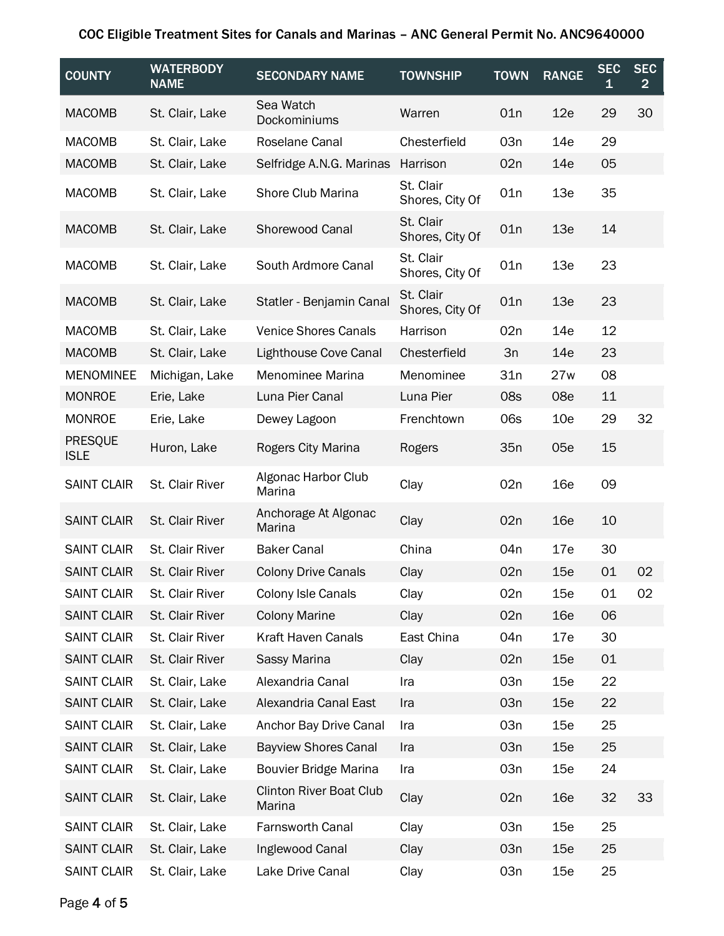| <b>COUNTY</b>                 | <b>WATERBODY</b><br><b>NAME</b> | <b>SECONDARY NAME</b>                    | <b>TOWNSHIP</b>              | <b>TOWN</b>     | <b>RANGE</b>    | <b>SEC</b><br>1 | <b>SEC</b><br>$\overline{2}$ |
|-------------------------------|---------------------------------|------------------------------------------|------------------------------|-----------------|-----------------|-----------------|------------------------------|
| <b>MACOMB</b>                 | St. Clair, Lake                 | Sea Watch<br>Dockominiums                | Warren                       | 01n             | 12e             | 29              | 30                           |
| <b>MACOMB</b>                 | St. Clair, Lake                 | Roselane Canal                           | Chesterfield                 | 03n             | 14e             | 29              |                              |
| <b>MACOMB</b>                 | St. Clair, Lake                 | Selfridge A.N.G. Marinas                 | Harrison                     | 02n             | 14e             | 05              |                              |
| <b>MACOMB</b>                 | St. Clair, Lake                 | <b>Shore Club Marina</b>                 | St. Clair<br>Shores, City Of | 01n             | 13e             | 35              |                              |
| <b>MACOMB</b>                 | St. Clair, Lake                 | Shorewood Canal                          | St. Clair<br>Shores, City Of | 01n             | 13e             | 14              |                              |
| <b>MACOMB</b>                 | St. Clair, Lake                 | South Ardmore Canal                      | St. Clair<br>Shores, City Of | 01n             | 13e             | 23              |                              |
| <b>MACOMB</b>                 | St. Clair, Lake                 | Statler - Benjamin Canal                 | St. Clair<br>Shores, City Of | 01n             | 13e             | 23              |                              |
| <b>MACOMB</b>                 | St. Clair, Lake                 | <b>Venice Shores Canals</b>              | Harrison                     | 02n             | 14e             | 12              |                              |
| <b>MACOMB</b>                 | St. Clair, Lake                 | Lighthouse Cove Canal                    | Chesterfield                 | 3n              | 14e             | 23              |                              |
| <b>MENOMINEE</b>              | Michigan, Lake                  | Menominee Marina                         | Menominee                    | 31n             | 27w             | 08              |                              |
| <b>MONROE</b>                 | Erie, Lake                      | Luna Pier Canal                          | Luna Pier                    | 08s             | 08e             | 11              |                              |
| <b>MONROE</b>                 | Erie, Lake                      | Dewey Lagoon                             | Frenchtown                   | 06s             | 10 <sub>e</sub> | 29              | 32                           |
| <b>PRESQUE</b><br><b>ISLE</b> | Huron, Lake                     | Rogers City Marina                       | Rogers                       | 35n             | 05e             | 15              |                              |
| <b>SAINT CLAIR</b>            | St. Clair River                 | Algonac Harbor Club<br>Marina            | Clay                         | 02n             | 16e             | 09              |                              |
| <b>SAINT CLAIR</b>            | St. Clair River                 | Anchorage At Algonac<br>Marina           | Clay                         | 02n             | <b>16e</b>      | 10              |                              |
| <b>SAINT CLAIR</b>            | St. Clair River                 | <b>Baker Canal</b>                       | China                        | 04 <sub>n</sub> | 17e             | 30              |                              |
| <b>SAINT CLAIR</b>            | St. Clair River                 | <b>Colony Drive Canals</b>               | Clay                         | 02n             | 15e             | 01              | 02                           |
| <b>SAINT CLAIR</b>            | St. Clair River                 | Colony Isle Canals                       | Clay                         | 02n             | 15e             | 01              | 02                           |
| <b>SAINT CLAIR</b>            | St. Clair River                 | <b>Colony Marine</b>                     | Clay                         | 02n             | <b>16e</b>      | 06              |                              |
| <b>SAINT CLAIR</b>            | St. Clair River                 | Kraft Haven Canals                       | East China                   | 04 <sub>n</sub> | 17e             | 30              |                              |
| <b>SAINT CLAIR</b>            | St. Clair River                 | Sassy Marina                             | Clay                         | 02n             | 15e             | 01              |                              |
| <b>SAINT CLAIR</b>            | St. Clair, Lake                 | Alexandria Canal                         | Ira                          | 03n             | 15e             | 22              |                              |
| <b>SAINT CLAIR</b>            | St. Clair, Lake                 | Alexandria Canal East                    | Ira                          | 03n             | 15e             | 22              |                              |
| <b>SAINT CLAIR</b>            | St. Clair, Lake                 | Anchor Bay Drive Canal                   | Ira                          | 03n             | 15e             | 25              |                              |
| <b>SAINT CLAIR</b>            | St. Clair, Lake                 | <b>Bayview Shores Canal</b>              | Ira                          | 03n             | 15e             | 25              |                              |
| <b>SAINT CLAIR</b>            | St. Clair, Lake                 | <b>Bouvier Bridge Marina</b>             | Ira                          | 03n             | 15e             | 24              |                              |
| <b>SAINT CLAIR</b>            | St. Clair, Lake                 | <b>Clinton River Boat Club</b><br>Marina | Clay                         | 02n             | <b>16e</b>      | 32              | 33                           |
| <b>SAINT CLAIR</b>            | St. Clair, Lake                 | Farnsworth Canal                         | Clay                         | 03n             | 15e             | 25              |                              |
| <b>SAINT CLAIR</b>            | St. Clair, Lake                 | Inglewood Canal                          | Clay                         | 03n             | 15e             | 25              |                              |
| <b>SAINT CLAIR</b>            | St. Clair, Lake                 | Lake Drive Canal                         | Clay                         | 03n             | 15e             | 25              |                              |